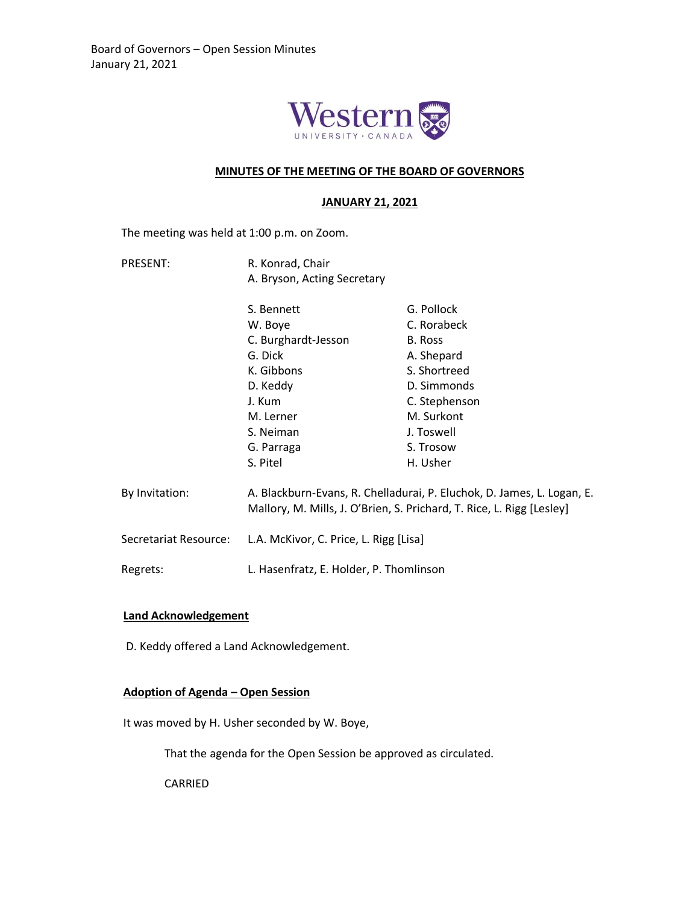

### **MINUTES OF THE MEETING OF THE BOARD OF GOVERNORS**

### **JANUARY 21, 2021**

The meeting was held at 1:00 p.m. on Zoom.

PRESENT: R. Konrad, Chair A. Bryson, Acting Secretary

|                       | S. Bennett                                                                                                                                      | G. Pollock    |
|-----------------------|-------------------------------------------------------------------------------------------------------------------------------------------------|---------------|
|                       | W. Boye                                                                                                                                         | C. Rorabeck   |
|                       | C. Burghardt-Jesson                                                                                                                             | B. Ross       |
|                       | G. Dick                                                                                                                                         | A. Shepard    |
|                       | K. Gibbons                                                                                                                                      | S. Shortreed  |
|                       | D. Keddy                                                                                                                                        | D. Simmonds   |
|                       | J. Kum                                                                                                                                          | C. Stephenson |
|                       | M. Lerner                                                                                                                                       | M. Surkont    |
|                       | S. Neiman                                                                                                                                       | J. Toswell    |
|                       | G. Parraga                                                                                                                                      | S. Trosow     |
|                       | S. Pitel                                                                                                                                        | H. Usher      |
| By Invitation:        | A. Blackburn-Evans, R. Chelladurai, P. Eluchok, D. James, L. Logan, E.<br>Mallory, M. Mills, J. O'Brien, S. Prichard, T. Rice, L. Rigg [Lesley] |               |
| Secretariat Resource: | L.A. McKivor, C. Price, L. Rigg [Lisa]                                                                                                          |               |

Regrets: L. Hasenfratz, E. Holder, P. Thomlinson

### **Land Acknowledgement**

D. Keddy offered a Land Acknowledgement.

## **Adoption of Agenda – Open Session**

It was moved by H. Usher seconded by W. Boye,

That the agenda for the Open Session be approved as circulated.

CARRIED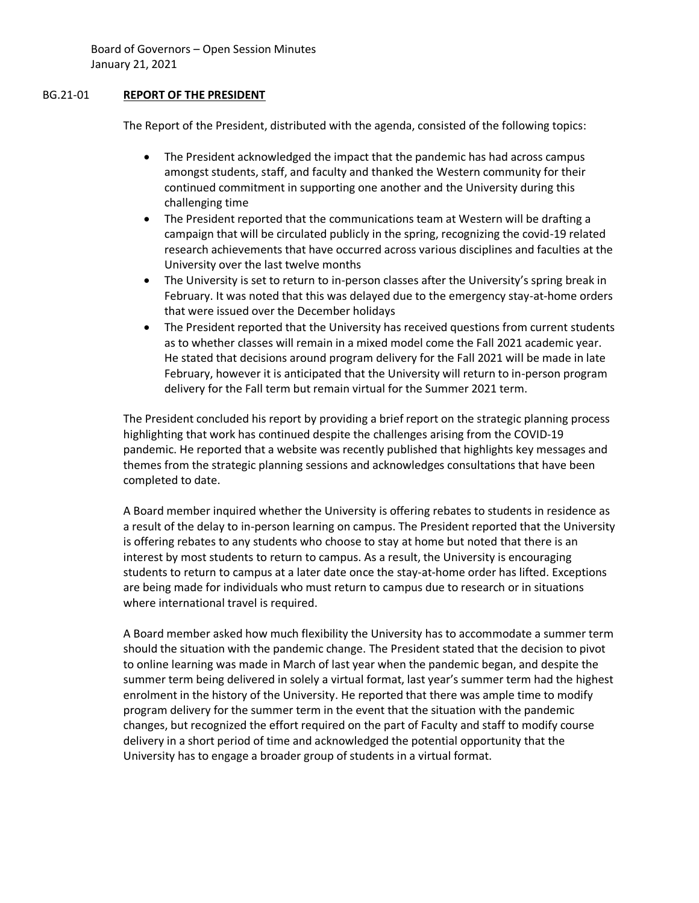## BG.21-01 **REPORT OF THE PRESIDENT**

The Report of the President, distributed with the agenda, consisted of the following topics:

- The President acknowledged the impact that the pandemic has had across campus amongst students, staff, and faculty and thanked the Western community for their continued commitment in supporting one another and the University during this challenging time
- The President reported that the communications team at Western will be drafting a campaign that will be circulated publicly in the spring, recognizing the covid-19 related research achievements that have occurred across various disciplines and faculties at the University over the last twelve months
- The University is set to return to in-person classes after the University's spring break in February. It was noted that this was delayed due to the emergency stay-at-home orders that were issued over the December holidays
- The President reported that the University has received questions from current students as to whether classes will remain in a mixed model come the Fall 2021 academic year. He stated that decisions around program delivery for the Fall 2021 will be made in late February, however it is anticipated that the University will return to in-person program delivery for the Fall term but remain virtual for the Summer 2021 term.

The President concluded his report by providing a brief report on the strategic planning process highlighting that work has continued despite the challenges arising from the COVID-19 pandemic. He reported that a website was recently published that highlights key messages and themes from the strategic planning sessions and acknowledges consultations that have been completed to date.

A Board member inquired whether the University is offering rebates to students in residence as a result of the delay to in-person learning on campus. The President reported that the University is offering rebates to any students who choose to stay at home but noted that there is an interest by most students to return to campus. As a result, the University is encouraging students to return to campus at a later date once the stay-at-home order has lifted. Exceptions are being made for individuals who must return to campus due to research or in situations where international travel is required.

A Board member asked how much flexibility the University has to accommodate a summer term should the situation with the pandemic change. The President stated that the decision to pivot to online learning was made in March of last year when the pandemic began, and despite the summer term being delivered in solely a virtual format, last year's summer term had the highest enrolment in the history of the University. He reported that there was ample time to modify program delivery for the summer term in the event that the situation with the pandemic changes, but recognized the effort required on the part of Faculty and staff to modify course delivery in a short period of time and acknowledged the potential opportunity that the University has to engage a broader group of students in a virtual format.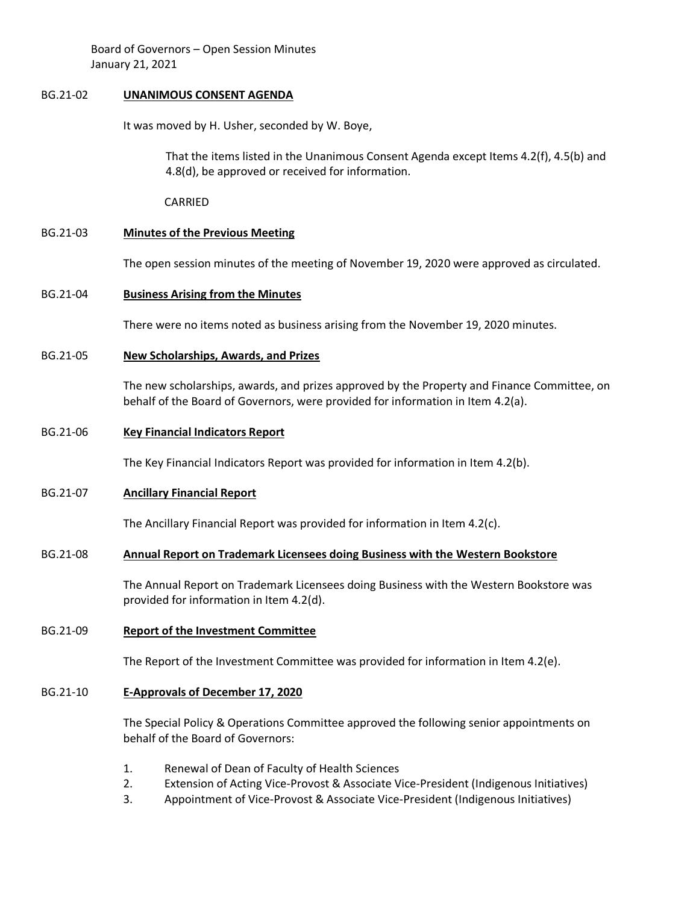### BG.21-02 **UNANIMOUS CONSENT AGENDA**

It was moved by H. Usher, seconded by W. Boye,

That the items listed in the Unanimous Consent Agenda except Items 4.2(f), 4.5(b) and 4.8(d), be approved or received for information.

CARRIED

# BG.21-03 **Minutes of the Previous Meeting**

The open session minutes of the meeting of November 19, 2020 were approved as circulated.

# BG.21-04 **Business Arising from the Minutes**

There were no items noted as business arising from the November 19, 2020 minutes.

BG.21-05 **New Scholarships, Awards, and Prizes**

The new scholarships, awards, and prizes approved by the Property and Finance Committee, on behalf of the Board of Governors, were provided for information in Item 4.2(a).

# BG.21-06 **Key Financial Indicators Report**

The Key Financial Indicators Report was provided for information in Item 4.2(b).

# BG.21-07 **Ancillary Financial Report**

The Ancillary Financial Report was provided for information in Item 4.2(c).

# BG.21-08 **Annual Report on Trademark Licensees doing Business with the Western Bookstore**

The Annual Report on Trademark Licensees doing Business with the Western Bookstore was provided for information in Item 4.2(d).

# BG.21-09 **Report of the Investment Committee**

The Report of the Investment Committee was provided for information in Item 4.2(e).

# BG.21-10 **E-Approvals of December 17, 2020**

The Special Policy & Operations Committee approved the following senior appointments on behalf of the Board of Governors:

- 1. Renewal of Dean of Faculty of Health Sciences
- 2. Extension of Acting Vice-Provost & Associate Vice-President (Indigenous Initiatives)
- 3. Appointment of Vice-Provost & Associate Vice-President (Indigenous Initiatives)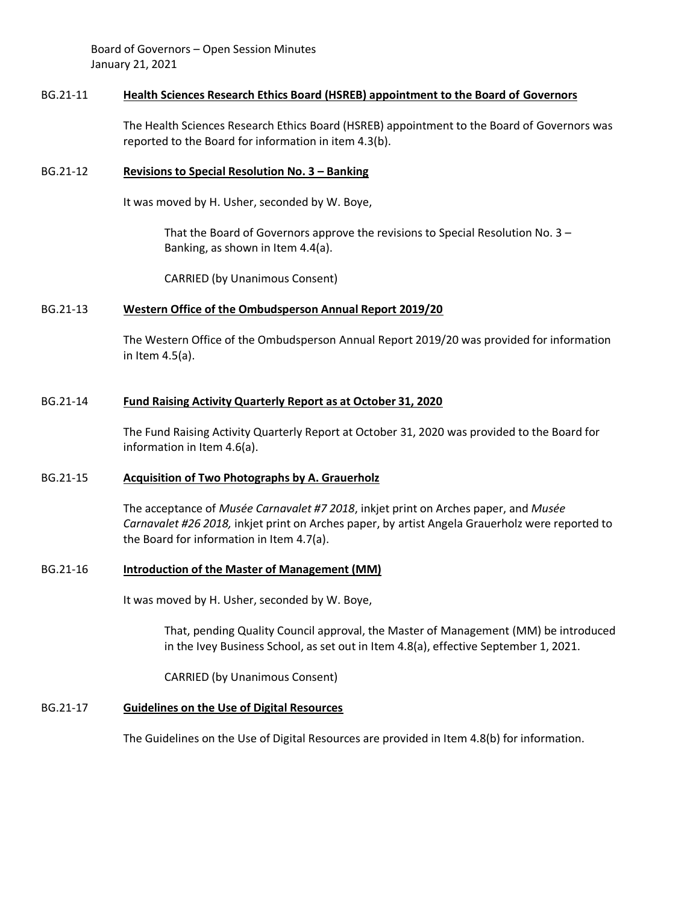### BG.21-11 **Health Sciences Research Ethics Board (HSREB) appointment to the Board of Governors**

The Health Sciences Research Ethics Board (HSREB) appointment to the Board of Governors was reported to the Board for information in item 4.3(b).

### BG.21-12 **Revisions to Special Resolution No. 3 – Banking**

It was moved by H. Usher, seconded by W. Boye,

That the Board of Governors approve the revisions to Special Resolution No. 3 – Banking, as shown in Item 4.4(a).

CARRIED (by Unanimous Consent)

#### BG.21-13 **Western Office of the Ombudsperson Annual Report 2019/20**

The Western Office of the Ombudsperson Annual Report 2019/20 was provided for information in Item 4.5(a).

#### BG.21-14 **Fund Raising Activity Quarterly Report as at October 31, 2020**

The Fund Raising Activity Quarterly Report at October 31, 2020 was provided to the Board for information in Item 4.6(a).

### BG.21-15 **Acquisition of Two Photographs by A. Grauerholz**

The acceptance of *Musée Carnavalet #7 2018*, inkjet print on Arches paper, and *Musée Carnavalet #26 2018,* inkjet print on Arches paper, by artist Angela Grauerholz were reported to the Board for information in Item 4.7(a).

#### BG.21-16 **Introduction of the Master of Management (MM)**

It was moved by H. Usher, seconded by W. Boye,

That, pending Quality Council approval, the Master of Management (MM) be introduced in the Ivey Business School, as set out in Item 4.8(a), effective September 1, 2021.

CARRIED (by Unanimous Consent)

#### BG.21-17 **Guidelines on the Use of Digital Resources**

The Guidelines on the Use of Digital Resources are provided in Item 4.8(b) for information.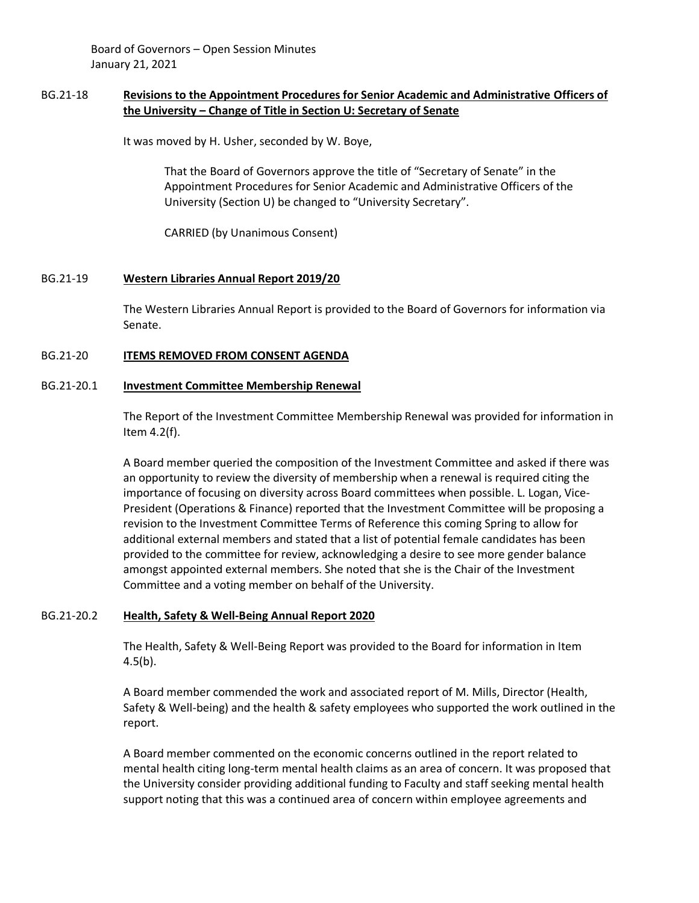## BG.21-18 **Revisions to the Appointment Procedures for Senior Academic and Administrative Officers of the University – Change of Title in Section U: Secretary of Senate**

It was moved by H. Usher, seconded by W. Boye,

That the Board of Governors approve the title of "Secretary of Senate" in the Appointment Procedures for Senior Academic and Administrative Officers of the University (Section U) be changed to "University Secretary".

CARRIED (by Unanimous Consent)

### BG.21-19 **Western Libraries Annual Report 2019/20**

The Western Libraries Annual Report is provided to the Board of Governors for information via Senate.

### BG.21-20 **ITEMS REMOVED FROM CONSENT AGENDA**

#### BG.21-20.1 **Investment Committee Membership Renewal**

The Report of the Investment Committee Membership Renewal was provided for information in Item 4.2(f).

A Board member queried the composition of the Investment Committee and asked if there was an opportunity to review the diversity of membership when a renewal is required citing the importance of focusing on diversity across Board committees when possible. L. Logan, Vice-President (Operations & Finance) reported that the Investment Committee will be proposing a revision to the Investment Committee Terms of Reference this coming Spring to allow for additional external members and stated that a list of potential female candidates has been provided to the committee for review, acknowledging a desire to see more gender balance amongst appointed external members. She noted that she is the Chair of the Investment Committee and a voting member on behalf of the University.

### BG.21-20.2 **Health, Safety & Well-Being Annual Report 2020**

The Health, Safety & Well-Being Report was provided to the Board for information in Item  $4.5(b)$ .

A Board member commended the work and associated report of M. Mills, Director (Health, Safety & Well-being) and the health & safety employees who supported the work outlined in the report.

A Board member commented on the economic concerns outlined in the report related to mental health citing long-term mental health claims as an area of concern. It was proposed that the University consider providing additional funding to Faculty and staff seeking mental health support noting that this was a continued area of concern within employee agreements and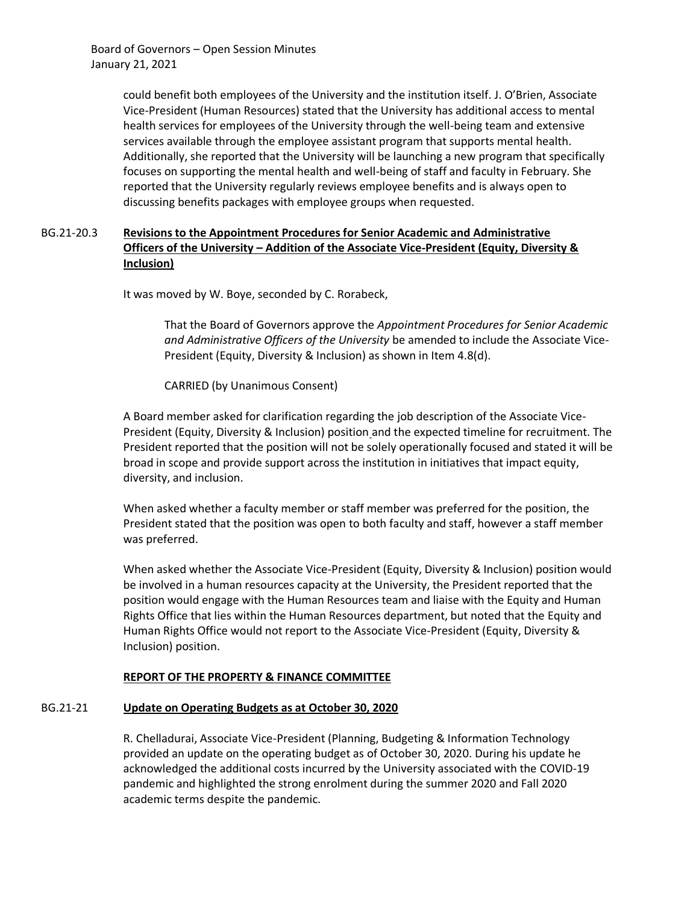> could benefit both employees of the University and the institution itself. J. O'Brien, Associate Vice-President (Human Resources) stated that the University has additional access to mental health services for employees of the University through the well-being team and extensive services available through the employee assistant program that supports mental health. Additionally, she reported that the University will be launching a new program that specifically focuses on supporting the mental health and well-being of staff and faculty in February. She reported that the University regularly reviews employee benefits and is always open to discussing benefits packages with employee groups when requested.

# BG.21-20.3 **Revisions to the Appointment Procedures for Senior Academic and Administrative Officers of the University – Addition of the Associate Vice-President (Equity, Diversity & Inclusion)**

It was moved by W. Boye, seconded by C. Rorabeck,

That the Board of Governors approve the *Appointment Procedures for Senior Academic and Administrative Officers of the University* be amended to include the Associate Vice-President (Equity, Diversity & Inclusion) as shown in Item 4.8(d).

CARRIED (by Unanimous Consent)

A Board member asked for clarification regarding the job description of the Associate Vice-President (Equity, Diversity & Inclusion) position and the expected timeline for recruitment. The President reported that the position will not be solely operationally focused and stated it will be broad in scope and provide support across the institution in initiatives that impact equity, diversity, and inclusion.

When asked whether a faculty member or staff member was preferred for the position, the President stated that the position was open to both faculty and staff, however a staff member was preferred.

When asked whether the Associate Vice-President (Equity, Diversity & Inclusion) position would be involved in a human resources capacity at the University, the President reported that the position would engage with the Human Resources team and liaise with the Equity and Human Rights Office that lies within the Human Resources department, but noted that the Equity and Human Rights Office would not report to the Associate Vice-President (Equity, Diversity & Inclusion) position.

## **REPORT OF THE PROPERTY & FINANCE COMMITTEE**

# BG.21-21 **Update on Operating Budgets as at October 30, 2020**

R. Chelladurai, Associate Vice-President (Planning, Budgeting & Information Technology provided an update on the operating budget as of October 30, 2020. During his update he acknowledged the additional costs incurred by the University associated with the COVID-19 pandemic and highlighted the strong enrolment during the summer 2020 and Fall 2020 academic terms despite the pandemic.